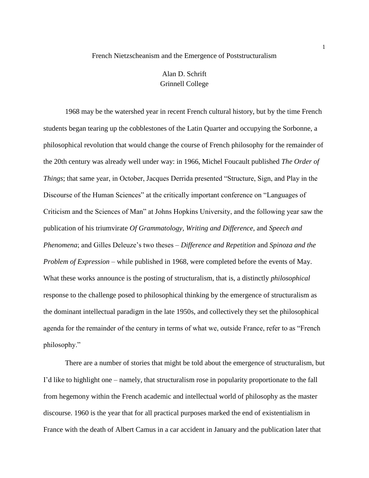## French Nietzscheanism and the Emergence of Poststructuralism

Alan D. Schrift Grinnell College

1968 may be the watershed year in recent French cultural history, but by the time French students began tearing up the cobblestones of the Latin Quarter and occupying the Sorbonne, a philosophical revolution that would change the course of French philosophy for the remainder of the 20th century was already well under way: in 1966, Michel Foucault published *The Order of Things*; that same year, in October, Jacques Derrida presented "Structure, Sign, and Play in the Discourse of the Human Sciences" at the critically important conference on "Languages of Criticism and the Sciences of Man" at Johns Hopkins University, and the following year saw the publication of his triumvirate *Of Grammatology, Writing and Difference,* and *Speech and Phenomena*; and Gilles Deleuze's two theses – *Difference and Repetition* and *Spinoza and the Problem of Expression* – while published in 1968, were completed before the events of May. What these works announce is the posting of structuralism, that is, a distinctly *philosophical* response to the challenge posed to philosophical thinking by the emergence of structuralism as the dominant intellectual paradigm in the late 1950s, and collectively they set the philosophical agenda for the remainder of the century in terms of what we, outside France, refer to as "French philosophy."

There are a number of stories that might be told about the emergence of structuralism, but I'd like to highlight one – namely, that structuralism rose in popularity proportionate to the fall from hegemony within the French academic and intellectual world of philosophy as the master discourse. 1960 is the year that for all practical purposes marked the end of existentialism in France with the death of Albert Camus in a car accident in January and the publication later that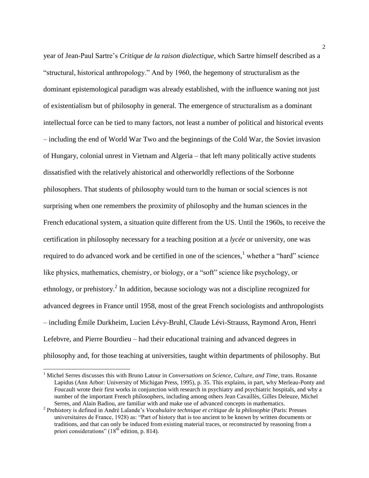year of Jean-Paul Sartre's *Critique de la raison dialectique*, which Sartre himself described as a "structural, historical anthropology." And by 1960, the hegemony of structuralism as the dominant epistemological paradigm was already established, with the influence waning not just of existentialism but of philosophy in general. The emergence of structuralism as a dominant intellectual force can be tied to many factors, not least a number of political and historical events – including the end of World War Two and the beginnings of the Cold War, the Soviet invasion of Hungary, colonial unrest in Vietnam and Algeria – that left many politically active students dissatisfied with the relatively ahistorical and otherworldly reflections of the Sorbonne philosophers. That students of philosophy would turn to the human or social sciences is not surprising when one remembers the proximity of philosophy and the human sciences in the French educational system, a situation quite different from the US. Until the 1960s, to receive the certification in philosophy necessary for a teaching position at a *lycée* or university, one was required to do advanced work and be certified in one of the sciences, $<sup>1</sup>$  whether a "hard" science</sup> like physics, mathematics, chemistry, or biology, or a "soft" science like psychology, or ethnology, or prehistory.<sup>2</sup> In addition, because sociology was not a discipline recognized for advanced degrees in France until 1958, most of the great French sociologists and anthropologists – including Émile Durkheim, Lucien Lévy-Bruhl, Claude Lévi-Strauss, Raymond Aron, Henri Lefebvre, and Pierre Bourdieu – had their educational training and advanced degrees in philosophy and, for those teaching at universities, taught within departments of philosophy. But

<sup>&</sup>lt;sup>1</sup> Michel Serres discusses this with Bruno Latour in *Conversations on Science, Culture, and Time*, trans. Roxanne Lapidus (Ann Arbor: University of Michigan Press, 1995), p. 35. This explains, in part, why Merleau-Ponty and Foucault wrote their first works in conjunction with research in psychiatry and psychiatric hospitals, and why a number of the important French philosophers, including among others Jean Cavaillès, Gilles Deleuze, Michel Serres, and Alain Badiou, are familiar with and make use of advanced concepts in mathematics.

<sup>2</sup> Prehistory is defined in André Lalande's *Vocabulaire technique et critique de la philosophie* (Paris: Presses universitaires de France, 1928) as: "Part of history that is too ancient to be known by written documents or traditions, and that can only be induced from existing material traces, or reconstructed by reasoning from a priori considerations" ( $18<sup>th</sup>$  edition, p. 814).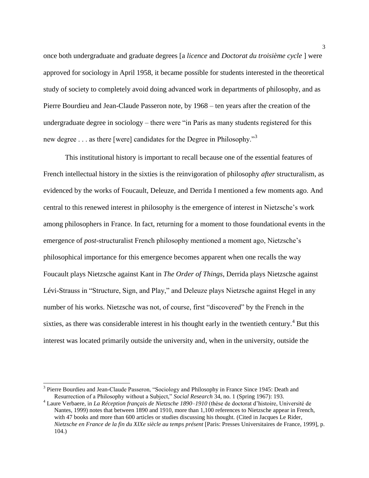once both undergraduate and graduate degrees [a *licence* and *Doctorat du troisième cycle* ] were approved for sociology in April 1958, it became possible for students interested in the theoretical study of society to completely avoid doing advanced work in departments of philosophy, and as Pierre Bourdieu and Jean-Claude Passeron note, by 1968 – ten years after the creation of the undergraduate degree in sociology – there were "in Paris as many students registered for this new degree . . . as there [were] candidates for the Degree in Philosophy.<sup>"3</sup>

This institutional history is important to recall because one of the essential features of French intellectual history in the sixties is the reinvigoration of philosophy *after* structuralism, as evidenced by the works of Foucault, Deleuze, and Derrida I mentioned a few moments ago. And central to this renewed interest in philosophy is the emergence of interest in Nietzsche's work among philosophers in France. In fact, returning for a moment to those foundational events in the emergence of *post*-structuralist French philosophy mentioned a moment ago, Nietzsche's philosophical importance for this emergence becomes apparent when one recalls the way Foucault plays Nietzsche against Kant in *The Order of Things*, Derrida plays Nietzsche against Lévi-Strauss in "Structure, Sign, and Play," and Deleuze plays Nietzsche against Hegel in any number of his works. Nietzsche was not, of course, first "discovered" by the French in the sixties, as there was considerable interest in his thought early in the twentieth century.<sup>4</sup> But this interest was located primarily outside the university and, when in the university, outside the

<sup>&</sup>lt;sup>3</sup> Pierre Bourdieu and Jean-Claude Passeron, "Sociology and Philosophy in France Since 1945: Death and Resurrection of a Philosophy without a Subject," *Social Research* 34, no. 1 (Spring 1967): 193.

<sup>4</sup> Laure Verbaere, in *La Réception français de Nietzsche 1890–1910* (thése de doctorat d'histoire, Université de Nantes, 1999) notes that between 1890 and 1910, more than 1,100 references to Nietzsche appear in French, with 47 books and more than 600 articles or studies discussing his thought. (Cited in Jacques Le Rider, *Nietzsche en France de la fin du XIXe siècle au temps présent* [Paris: Presses Universitaires de France, 1999], p. 104.)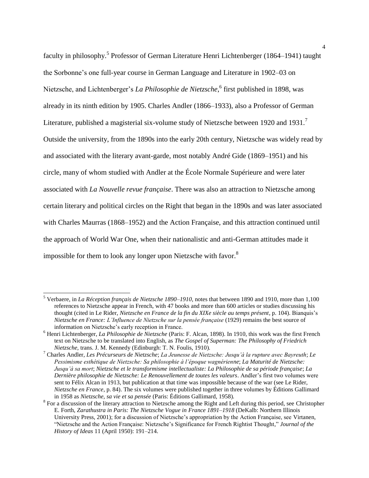faculty in philosophy.<sup>5</sup> Professor of German Literature Henri Lichtenberger (1864–1941) taught the Sorbonne's one full-year course in German Language and Literature in 1902–03 on Nietzsche, and Lichtenberger's *La Philosophie de Nietzsche*, 6 first published in 1898, was already in its ninth edition by 1905. Charles Andler (1866–1933), also a Professor of German Literature, published a magisterial six-volume study of Nietzsche between 1920 and 1931.<sup>7</sup> Outside the university, from the 1890s into the early 20th century, Nietzsche was widely read by and associated with the literary avant-garde, most notably André Gide (1869–1951) and his circle, many of whom studied with Andler at the École Normale Supérieure and were later associated with *La Nouvelle revue française*. There was also an attraction to Nietzsche among certain literary and political circles on the Right that began in the 1890s and was later associated with Charles Maurras (1868–1952) and the Action Française, and this attraction continued until the approach of World War One, when their nationalistic and anti-German attitudes made it impossible for them to look any longer upon Nietzsche with favor.<sup>8</sup>

<sup>5</sup> Verbaere, in *La Réception français de Nietzsche 1890–1910*, notes that between 1890 and 1910, more than 1,100 references to Nietzsche appear in French, with 47 books and more than 600 articles or studies discussing his thought (cited in Le Rider, *Nietzsche en France de la fin du XIXe siècle au temps présent*, p. 104). Bianquis's *Nietzsche en France: L'Influence de Nietzsche sur la pensée française* (1929) remains the best source of information on Nietzsche's early reception in France.

<sup>6</sup> Henri Lichtenberger, *La Philosophie de Nietzsche* (Paris: F. Alcan, 1898). In 1910, this work was the first French text on Nietzsche to be translated into English, as *The Gospel of Superman: The Philosophy of Friedrich Nietzsche,* trans. J. M. Kennedy (Edinburgh: T. N. Foulis, 1910)*.*

<sup>7</sup> Charles Andler, *Les Précurseurs de Nietzsche*; *La Jeunesse de Nietzsche: Jusqu'à la rupture avec Bayreuth*; *Le Pessimisme esthétique de Nietzsche: Sa philosophie à l'époque wagnérienne*; *La Maturité de Nietzsche: Jusqu'à sa mort*; *Nietzsche et le transformisme intellectualiste: La Philosophie de sa période française*; *La Dernière philosophie de Nietzsche: Le Renouvellement de toutes les valeurs*. Andler's first two volumes were sent to Félix Alcan in 1913, but publication at that time was impossible because of the war (see Le Rider, *Nietzsche en France*, p. 84). The six volumes were published together in three volumes by Éditions Gallimard in 1958 as *Nietzsche, sa vie et sa pensée* (Paris: Éditions Gallimard, 1958)*.*

 $8$  For a discussion of the literary attraction to Nietzsche among the Right and Left during this period, see Christopher E. Forth, *Zarathustra in Paris: The Nietzsche Vogue in France 1891–1918* (DeKalb: Northern Illinois University Press, 2001); for a discussion of Nietzsche's appropriation by the Action Française, see Virtanen, "Nietzsche and the Action Française: Nietzsche's Significance for French Rightist Thought," *Journal of the History of Ideas* 11 (April 1950): 191–214.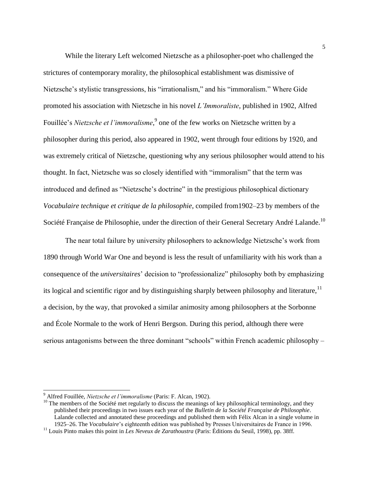While the literary Left welcomed Nietzsche as a philosopher-poet who challenged the strictures of contemporary morality, the philosophical establishment was dismissive of Nietzsche's stylistic transgressions, his "irrationalism," and his "immoralism." Where Gide promoted his association with Nietzsche in his novel *L'Immoraliste*, published in 1902, Alfred Fouillée's *Nietzsche et l'immoralisme*,<sup>9</sup> one of the few works on Nietzsche written by a philosopher during this period, also appeared in 1902, went through four editions by 1920, and was extremely critical of Nietzsche, questioning why any serious philosopher would attend to his thought. In fact, Nietzsche was so closely identified with "immoralism" that the term was introduced and defined as "Nietzsche's doctrine" in the prestigious philosophical dictionary *Vocabulaire technique et critique de la philosophie*, compiled from1902–23 by members of the Société Française de Philosophie, under the direction of their General Secretary André Lalande.<sup>10</sup>

The near total failure by university philosophers to acknowledge Nietzsche's work from 1890 through World War One and beyond is less the result of unfamiliarity with his work than a consequence of the *universitaires*' decision to "professionalize" philosophy both by emphasizing its logical and scientific rigor and by distinguishing sharply between philosophy and literature, $11$ a decision, by the way, that provoked a similar animosity among philosophers at the Sorbonne and École Normale to the work of Henri Bergson. During this period, although there were serious antagonisms between the three dominant "schools" within French academic philosophy –

 $\overline{a}$ 

5

<sup>9</sup> Alfred Fouillée, *Nietzsche et l'immoralisme* (Paris: F. Alcan, 1902).

 $10$  The members of the Société met regularly to discuss the meanings of key philosophical terminology, and they published their proceedings in two issues each year of the *Bulletin de la Société Française de Philosophie*. Lalande collected and annotated these proceedings and published them with Félix Alcan in a single volume in 1925–26. The *Vocabulaire*'s eighteenth edition was published by Presses Universitaires de France in 1996.

<sup>11</sup> Louis Pinto makes this point in *Les Neveux de Zarathoustra* (Paris: Éditions du Seuil, 1998), pp. 38ff.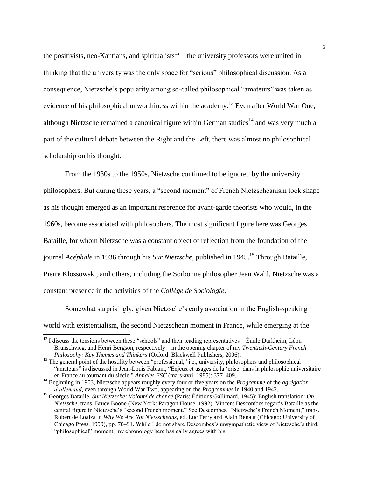the positivists, neo-Kantians, and spiritualists<sup>12</sup> – the university professors were united in thinking that the university was the only space for "serious" philosophical discussion. As a consequence, Nietzsche's popularity among so-called philosophical "amateurs" was taken as evidence of his philosophical unworthiness within the academy.<sup>13</sup> Even after World War One, although Nietzsche remained a canonical figure within German studies<sup>14</sup> and was very much a part of the cultural debate between the Right and the Left, there was almost no philosophical scholarship on his thought.

From the 1930s to the 1950s, Nietzsche continued to be ignored by the university philosophers. But during these years, a "second moment" of French Nietzscheanism took shape as his thought emerged as an important reference for avant-garde theorists who would, in the 1960s, become associated with philosophers. The most significant figure here was Georges Bataille, for whom Nietzsche was a constant object of reflection from the foundation of the journal *Acéphale* in 1936 through his *Sur Nietzsche*, published in 1945.<sup>15</sup> Through Bataille, Pierre Klossowski, and others, including the Sorbonne philosopher Jean Wahl, Nietzsche was a constant presence in the activities of the *Collège de Sociologie*.

Somewhat surprisingly, given Nietzsche's early association in the English-speaking world with existentialism, the second Nietzschean moment in France, while emerging at the

 $12$  I discuss the tensions between these "schools" and their leading representatives – Émile Durkheim, Léon Brunschvicg, and Henri Bergson, respectively – in the opening chapter of my *Twentieth-Century French Philosophy: Key Themes and Thinkers* (Oxford: Blackwell Publishers, 2006).

<sup>&</sup>lt;sup>13</sup> The general point of the hostility between "professional," i.e., university, philosophers and philosophical "amateurs" is discussed in Jean-Louis Fabiani, "Enjeux et usages de la 'crise' dans la philosophie universitaire en France au tournant du siècle," *Annales ESC* (mars-avril 1985): 377–409.

<sup>14</sup> Beginning in 1903, Nietzsche appears roughly every four or five years on the *Programme* of the *agrégation d'allemand*, even through World War Two, appearing on the *Programmes* in 1940 and 1942.

<sup>15</sup> Georges Bataille, *Sur Nietzsche: Volonté de chance* (Paris: Éditions Gallimard, 1945); English translation: *On Nietzsche,* trans. Bruce Boone (New York: Paragon House, 1992). Vincent Descombes regards Bataille as the central figure in Nietzsche's "second French moment." See Descombes, "Nietzsche's French Moment," trans. Robert de Loaiza in *Why We Are Not Nietzscheans,* ed. Luc Ferry and Alain Renaut (Chicago: University of Chicago Press, 1999), pp. 70–91. While I do not share Descombes's unsympathetic view of Nietzsche's third, "philosophical" moment, my chronology here basically agrees with his.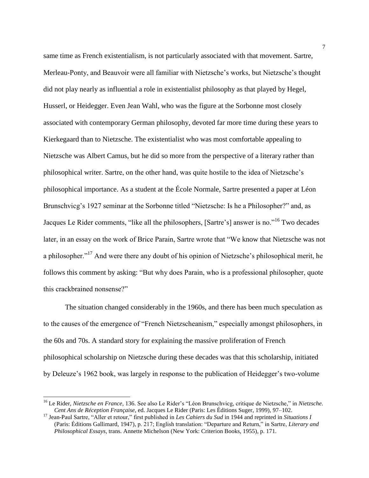same time as French existentialism, is not particularly associated with that movement. Sartre, Merleau-Ponty, and Beauvoir were all familiar with Nietzsche's works, but Nietzsche's thought did not play nearly as influential a role in existentialist philosophy as that played by Hegel, Husserl, or Heidegger. Even Jean Wahl, who was the figure at the Sorbonne most closely associated with contemporary German philosophy, devoted far more time during these years to Kierkegaard than to Nietzsche. The existentialist who was most comfortable appealing to Nietzsche was Albert Camus, but he did so more from the perspective of a literary rather than philosophical writer. Sartre, on the other hand, was quite hostile to the idea of Nietzsche's philosophical importance. As a student at the École Normale, Sartre presented a paper at Léon Brunschvicg's 1927 seminar at the Sorbonne titled "Nietzsche: Is he a Philosopher?" and, as Jacques Le Rider comments, "like all the philosophers, [Sartre's] answer is no."<sup>16</sup> Two decades later, in an essay on the work of Brice Parain, Sartre wrote that "We know that Nietzsche was not a philosopher."<sup>17</sup> And were there any doubt of his opinion of Nietzsche's philosophical merit, he follows this comment by asking: "But why does Parain, who is a professional philosopher, quote this crackbrained nonsense?"

The situation changed considerably in the 1960s, and there has been much speculation as to the causes of the emergence of "French Nietzscheanism," especially amongst philosophers, in the 60s and 70s. A standard story for explaining the massive proliferation of French philosophical scholarship on Nietzsche during these decades was that this scholarship, initiated by Deleuze's 1962 book, was largely in response to the publication of Heidegger's two-volume

<sup>16</sup> Le Rider, *Nietzsche en France*, 136. See also Le Rider's "Léon Brunschvicg, critique de Nietzsche," in *Nietzsche. Cent Ans de Réception Française*, ed. Jacques Le Rider (Paris: Les Éditions Suger, 1999), 97–102.

<sup>17</sup> Jean-Paul Sartre, "Aller et retour," first published in *Les Cahiers du Sud* in 1944 and reprinted in *Situations I* (Paris: Éditions Gallimard, 1947), p. 217; English translation: "Departure and Return," in Sartre, *Literary and Philosophical Essays*, trans. Annette Michelson (New York: Criterion Books, 1955), p. 171.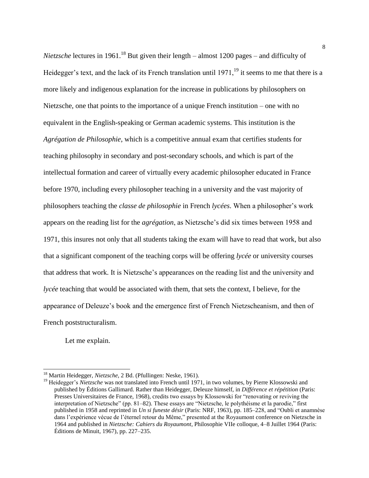*Nietzsche* lectures in 1961.<sup>18</sup> But given their length – almost 1200 pages – and difficulty of Heidegger's text, and the lack of its French translation until  $1971<sup>19</sup>$  it seems to me that there is a more likely and indigenous explanation for the increase in publications by philosophers on Nietzsche, one that points to the importance of a unique French institution – one with no equivalent in the English-speaking or German academic systems. This institution is the *Agrégation de Philosophie*, which is a competitive annual exam that certifies students for teaching philosophy in secondary and post-secondary schools, and which is part of the intellectual formation and career of virtually every academic philosopher educated in France before 1970, including every philosopher teaching in a university and the vast majority of philosophers teaching the *classe de philosophie* in French *lycées*. When a philosopher's work appears on the reading list for the *agrégation*, as Nietzsche's did six times between 1958 and 1971, this insures not only that all students taking the exam will have to read that work, but also that a significant component of the teaching corps will be offering *lycée* or university courses that address that work. It is Nietzsche's appearances on the reading list and the university and *lycée* teaching that would be associated with them, that sets the context, I believe, for the appearance of Deleuze's book and the emergence first of French Nietzscheanism, and then of French poststructuralism.

Let me explain.

<sup>18</sup> Martin Heidegger, *Nietzsche*, 2 Bd. (Pfullingen: Neske, 1961).

<sup>&</sup>lt;sup>19</sup> Heidegger's *Nietzsche* was not translated into French until 1971, in two volumes, by Pierre Klossowski and published by Éditions Gallimard. Rather than Heidegger, Deleuze himself, in *Différence et répétition* (Paris: Presses Universitaires de France, 1968), credits two essays by Klossowski for "renovating or reviving the interpretation of Nietzsche" (pp. 81–82). These essays are "Nietzsche, le polythéisme et la parodie," first published in 1958 and reprinted in *Un si funeste désir* (Paris: NRF, 1963), pp. 185–228, and "Oubli et anamnèse dans l'expérience vécue de l'éternel retour du Même," presented at the Royaumont conference on Nietzsche in 1964 and published in *Nietzsche: Cahiers du Royaumont*, Philosophie VIIe colloque, 4–8 Juillet 1964 (Paris: Éditions de Minuit, 1967), pp. 227–235.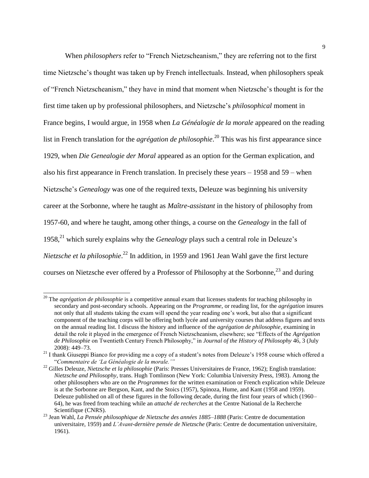When *philosophers* refer to "French Nietzscheanism," they are referring not to the first time Nietzsche's thought was taken up by French intellectuals. Instead, when philosophers speak of "French Nietzscheanism," they have in mind that moment when Nietzsche's thought is for the first time taken up by professional philosophers, and Nietzsche's *philosophical* moment in France begins, I would argue, in 1958 when *La Généalogie de la morale* appeared on the reading list in French translation for the *agrégation de philosophie*. <sup>20</sup> This was his first appearance since 1929, when *Die Genealogie der Moral* appeared as an option for the German explication, and also his first appearance in French translation. In precisely these years – 1958 and 59 – when Nietzsche's *Genealogy* was one of the required texts, Deleuze was beginning his university career at the Sorbonne, where he taught as *Maître-assistant* in the history of philosophy from 1957-60, and where he taught, among other things, a course on the *Genealogy* in the fall of 1958,<sup>21</sup> which surely explains why the *Genealogy* plays such a central role in Deleuze's *Nietzsche et la philosophie*. <sup>22</sup> In addition, in 1959 and 1961 Jean Wahl gave the first lecture courses on Nietzsche ever offered by a Professor of Philosophy at the Sorbonne,  $^{23}$  and during

<sup>&</sup>lt;sup>20</sup> The *agrégation de philosophie* is a competitive annual exam that licenses students for teaching philosophy in secondary and post-secondary schools. Appearing on the *Programme*, or reading list, for the *agrégation* insures not only that all students taking the exam will spend the year reading one's work, but also that a significant component of the teaching corps will be offering both lycée and university courses that address figures and texts on the annual reading list. I discuss the history and influence of the *agrégation de philosophie*, examining in detail the role it played in the emergence of French Nietzscheanism, elsewhere; see "Effects of the *Agrégation de Philosophie* on Twentieth Century French Philosophy," in *Journal of the History of Philosophy* 46, 3 (July 2008): 449–73.

 $21$  I thank Giuseppi Bianco for providing me a copy of a student's notes from Deleuze's 1958 course which offered a "*Commentaire de 'La Généalogie de la morale.'"*

<sup>&</sup>lt;sup>22</sup> Gilles Deleuze, *Nietzsche et la philosophie* (Paris: Presses Universitaires de France, 1962); English translation: *Nietzsche and Philosophy*, trans. Hugh Tomlinson (New York: Columbia University Press, 1983). Among the other philosophers who are on the *Programmes* for the written examination or French explication while Deleuze is at the Sorbonne are Bergson, Kant, and the Stoics (1957), Spinoza, Hume, and Kant (1958 and 1959). Deleuze published on all of these figures in the following decade, during the first four years of which (1960– 64), he was freed from teaching while an *attaché de recherches* at the Centre National de la Recherche Scientifique (CNRS).

<sup>23</sup> Jean Wahl, *La Pensée philosophique de Nietzsche des années 1885–1888* (Paris: Centre de documentation universitaire, 1959) and *L'Avant-dernière pensée de Nietzsche* (Paris: Centre de documentation universitaire, 1961).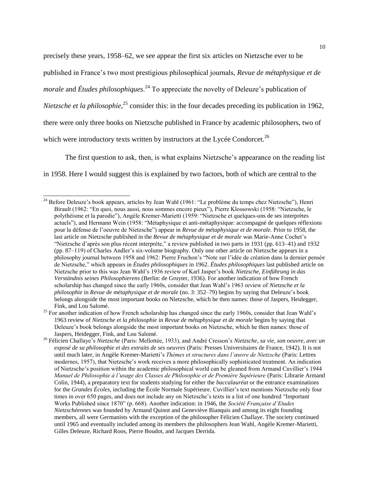precisely these years, 1958–62, we see appear the first six articles on Nietzsche ever to be published in France's two most prestigious philosophical journals, *Revue de métaphysique et de morale* and *Études philosophiques*. <sup>24</sup> To appreciate the novelty of Deleuze's publication of *Nietzsche et la philosophie*,<sup>25</sup> consider this: in the four decades preceding its publication in 1962, there were only three books on Nietzsche published in France by academic philosophers, two of which were introductory texts written by instructors at the Lycée Condorcet.<sup>26</sup>

The first question to ask, then, is what explains Nietzsche's appearance on the reading list in 1958. Here I would suggest this is explained by two factors, both of which are central to the

<sup>&</sup>lt;sup>24</sup> Before Deleuze's book appears, articles by Jean Wahl (1961: "Le problème du temps chez Nietzsche"), Henri Birault (1962: "En quoi, nous aussi, nous sommes encore pieux"), Pierre Klossowski (1958: "Nietzsche, le polythéisme et la parodie"), Angèle Kremer-Marietti (1959: "Nietzsche et quelques-uns de ses interprètes actuels"), and Hermann Wein (1958: "Métaphysique et anti-métaphysique: accompagné de quelques réflexions pour la défense de l'oeuvre de Nietzsche") appear in *Revue de métaphysique et de morale.* Prior to 1958, the last article on Nietzsche published in the *Revue de métaphysique et de morale* was Marie-Anne Cochet's "Nietzsche d'après son plus récent interprète," a review published in two parts in 1931 (pp. 613–41) and 1932 (pp. 87–119) of Charles Andler's six-volume biography. Only one other article on Nietzsche appears in a philosophy journal between 1958 and 1962: Pierre Fruchon's "Note sur l'idée de création dans la dernier pensée de Nietzsche," which appears in *Études philosophiques* in 1962. *Études philosophiques* last published article on Nietzsche prior to this was Jean Wahl's 1936 review of Karl Jasper's book *Nietzsche, Einführung in das Verständnis seines Philosophierens* (Berlin: de Gruyter, 1936). For another indication of how French scholarship has changed since the early 1960s, consider that Jean Wahl's 1963 review of *Nietzsche et la philosophie* in *Revue de métaphysique et de morale* (no. 3: 352–79) begins by saying that Deleuze's book belongs alongside the most important books on Nietzsche, which he then names: those of Jaspers, Heidegger, Fink, and Lou Salomé.

<sup>&</sup>lt;sup>25</sup> For another indication of how French scholarship has changed since the early 1960s, consider that Jean Wahl's 1963 review of *Nietzsche et la philosophie* in *Revue de métaphysique et de morale* begins by saying that Deleuze's book belongs alongside the most important books on Nietzsche, which he then names: those of Jaspers, Heidegger, Fink, and Lou Salomé.

<sup>26</sup> Félicien Challaye's *Nietzsche* (Paris: Mellottée, 1933), and André Cresson's *Nietzsche, sa vie, son oeuvre, avec un exposé de sa philosophie et des extraits de ses oeuvres* (Paris: Presses Universitaires de France, 1942). It is not until much later, in Angèle Kremer-Marietti's *Thèmes et structures dans l'œuvre de Nietzsche* (Paris: Lettres modernes, 1957), that Nietzsche's work receives a more philosophically sophisticated treatment. An indication of Nietzsche's position within the academic philosophical world can be gleaned from Armand Cuvillier's 1944 *Manuel de Philosophie à l'usage des Classes de Philosophie et de Première Supérieure* (Paris: Librarie Armand Colin, 1944), a preparatory text for students studying for either the *baccalauréat* or the entrance examinations for the *Grandes Écoles*, including the École Normale Supérieure. Cuvillier's text mentions Nietzsche only four times in over 650 pages, and does not include any on Nietzsche's texts in a list of one hundred "Important Works Published since 1870" (p. 668). Another indication: in 1946, the *Société Française d'Etudes Nietzschéennes* was founded by Armand Quinot and Geneviève Bianquis and among its eight founding members, all were Germanists with the exception of the philosopher Félicien Challaye. The society continued until 1965 and eventually included among its members the philosophers Jean Wahl, Angèle Kremer-Marietti, Gilles Deleuze, Richard Roos, Pierre Boudot, and Jacques Derrida.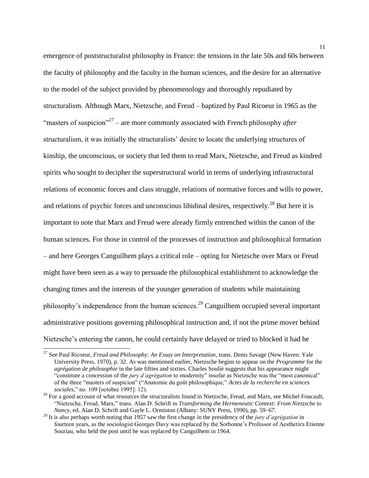emergence of poststructuralist philosophy in France: the tensions in the late 50s and 60s between the faculty of philosophy and the faculty in the human sciences, and the desire for an alternative to the model of the subject provided by phenomenology and thoroughly repudiated by structuralism. Although Marx, Nietzsche, and Freud – baptized by Paul Ricoeur in 1965 as the "masters of suspicion"<sup>27</sup> – are more commonly associated with French philosophy *after* structuralism, it was initially the structuralists' desire to locate the underlying structures of kinship, the unconscious, or society that led them to read Marx, Nietzsche, and Freud as kindred spirits who sought to decipher the superstructural world in terms of underlying infrastructural relations of economic forces and class struggle, relations of normative forces and wills to power, and relations of psychic forces and unconscious libidinal desires, respectively.<sup>28</sup> But here it is important to note that Marx and Freud were already firmly entrenched within the canon of the human sciences. For those in control of the processes of instruction and philosophical formation – and here Georges Canguilhem plays a critical role – opting for Nietzsche over Marx or Freud might have been seen as a way to persuade the philosophical establishment to acknowledge the changing times and the interests of the younger generation of students while maintaining philosophy's independence from the human sciences.<sup>29</sup> Canguilhem occupied several important administrative positions governing philosophical instruction and, if not the prime mover behind Nietzsche's entering the canon, he could certainly have delayed or tried to blocked it had he

<sup>27</sup> See Paul Ricoeur, *Freud and Philosophy: An Essay on Interpretation*, trans. Denis Savage (New Haven: Yale University Press, 1970), p. 32. As was mentioned earlier, Nietzsche begins to appear on the *Programme* for the *agrégation de philosophie* in the late fifties and sixties. Charles Soulié suggests that his appearance might "constitute a concession of the *jury d'agrégation* to modernity" insofar as Nietzsche was the "most canonical" of the three "masters of suspicion" ("Anatomie du goût philosophique," *Actes de la recherche en sciences sociales*," no. 109 [octobre 1995]: 12).

<sup>&</sup>lt;sup>28</sup> For a good account of what resources the structuralists found in Nietzsche, Freud, and Marx, see Michel Foucault, "Nietzsche, Freud, Marx," trans. Alan D. Schrift in *Transforming the Hermeneutic Context: From Nietzsche to Nancy,* ed. Alan D. Schrift and Gayle L. Ormiston (Albany: SUNY Press, 1990), pp. 59–67.

<sup>29</sup> It is also perhaps worth noting that 1957 saw the first change in the presidency of the *jury d'agrégation* in fourteen years, as the sociologist Georges Davy was replaced by the Sorbonne's Professor of Aesthetics Etienne Souriau, who held the post until he was replaced by Canguilhem in 1964.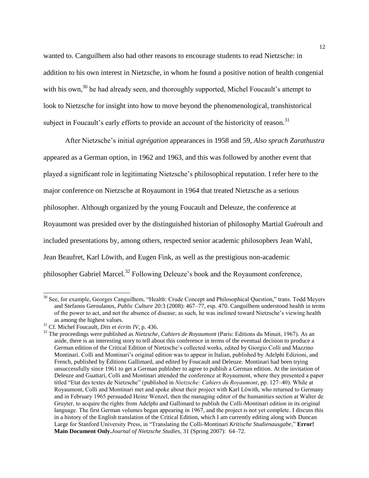wanted to. Canguilhem also had other reasons to encourage students to read Nietzsche: in addition to his own interest in Nietzsche, in whom he found a positive notion of health congenial with his own, $30$  he had already seen, and thoroughly supported, Michel Foucault's attempt to look to Nietzsche for insight into how to move beyond the phenomenological, transhistorical subject in Foucault's early efforts to provide an account of the historicity of reason.<sup>31</sup>

After Nietzsche's initial *agrégation* appearances in 1958 and 59, *Also sprach Zarathustra* appeared as a German option, in 1962 and 1963, and this was followed by another event that played a significant role in legitimating Nietzsche's philosophical reputation. I refer here to the major conference on Nietzsche at Royaumont in 1964 that treated Nietzsche as a serious philosopher. Although organized by the young Foucault and Deleuze, the conference at Royaumont was presided over by the distinguished historian of philosophy Martial Guéroult and included presentations by, among others, respected senior academic philosophers Jean Wahl, Jean Beaufret, Karl Löwith, and Eugen Fink, as well as the prestigious non-academic philosopher Gabriel Marcel.<sup>32</sup> Following Deleuze's book and the Royaumont conference,

<sup>&</sup>lt;sup>30</sup> See, for example, Georges Canguilhem, "Health: Crude Concept and Philosophical Question," trans. Todd Meyers and Stefanos Geroulanos, *Public Culture* 20:3 (2008): 467–77, esp. 470. Canguilhem understood health in terms of the power to act, and not the absence of disease; as such, he was inclined toward Nietzsche's viewing health as among the highest values.

<sup>31</sup> Cf. Michel Foucault, *Dits et écrits IV*, p. 436.

<sup>32</sup> The proceedings were published as *Nietzsche, Cahiers de Royaumont* (Paris: Editions du Minuit, 1967). As an aside, there is an interesting story to tell about this conference in terms of the eventual decision to produce a German edition of the Critical Edition of Nietzsche's collected works, edited by Giorgio Colli and Mazzino Montinari. Colli and Montinari's original edition was to appear in Italian, published by Adelphi Edizioni, and French, published by Éditions Gallimard, and edited by Foucault and Deleuze. Montinari had been trying unsuccessfully since 1961 to get a German publisher to agree to publish a German edition. At the invitation of Deleuze and Guattari, Colli and Montinari attended the conference at Royaumont, where they presented a paper titled "Etat des textes de Nietzsche" (published in *Nietzsche: Cahiers du Royaumont*, pp. 127–40). While at Royaumont, Colli and Montinari met and spoke about their project with Karl Löwith, who returned to Germany and in February 1965 persuaded Heinz Wenzel, then the managing editor of the humanities section at Walter de Gruyter, to acquire the rights from Adelphi and Gallimard to publish the Colli-Montinari edition in its original language. The first German volumes began appearing in 1967, and the project is not yet complete. I discuss this in a history of the English translation of the Critical Edition, which I am currently editing along with Duncan Large for Stanford University Press, in "Translating the Colli-Montinari *Kritische Studienausgabe,*" **Error! Main Document Only.***Journal of Nietzsche Studies*, 31 (Spring 2007): 64–72.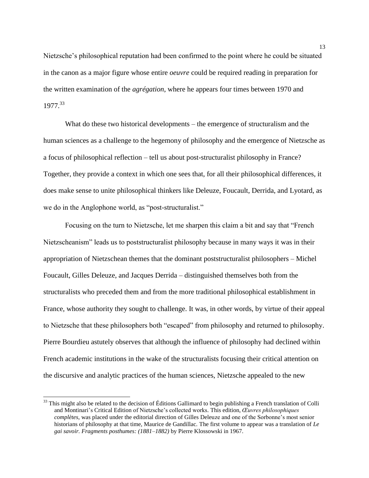Nietzsche's philosophical reputation had been confirmed to the point where he could be situated in the canon as a major figure whose entire *oeuvre* could be required reading in preparation for the written examination of the *agrégation*, where he appears four times between 1970 and 1977.<sup>33</sup>

What do these two historical developments – the emergence of structuralism and the human sciences as a challenge to the hegemony of philosophy and the emergence of Nietzsche as a focus of philosophical reflection – tell us about post-structuralist philosophy in France? Together, they provide a context in which one sees that, for all their philosophical differences, it does make sense to unite philosophical thinkers like Deleuze, Foucault, Derrida, and Lyotard, as we do in the Anglophone world, as "post-structuralist."

Focusing on the turn to Nietzsche, let me sharpen this claim a bit and say that "French Nietzscheanism" leads us to poststructuralist philosophy because in many ways it was in their appropriation of Nietzschean themes that the dominant poststructuralist philosophers – Michel Foucault, Gilles Deleuze, and Jacques Derrida – distinguished themselves both from the structuralists who preceded them and from the more traditional philosophical establishment in France, whose authority they sought to challenge. It was, in other words, by virtue of their appeal to Nietzsche that these philosophers both "escaped" from philosophy and returned to philosophy. Pierre Bourdieu astutely observes that although the influence of philosophy had declined within French academic institutions in the wake of the structuralists focusing their critical attention on the discursive and analytic practices of the human sciences, Nietzsche appealed to the new

 $33$  This might also be related to the decision of Éditions Gallimard to begin publishing a French translation of Colli and Montinari's Critical Edition of Nietzsche's collected works. This edition, *Œuvres philosophiques complètes*, was placed under the editorial direction of Gilles Deleuze and one of the Sorbonne's most senior historians of philosophy at that time, Maurice de Gandillac. The first volume to appear was a translation of *Le gai savoir. Fragments posthumes: (1881–1882)* by Pierre Klossowski in 1967.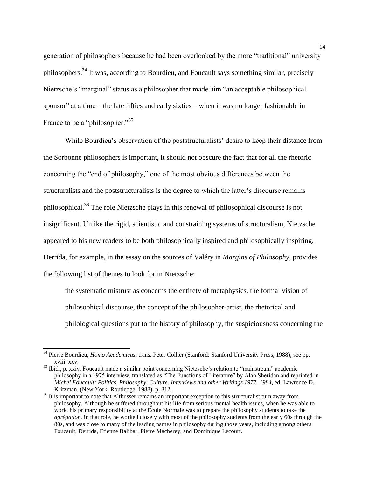generation of philosophers because he had been overlooked by the more "traditional" university philosophers.<sup>34</sup> It was, according to Bourdieu, and Foucault says something similar, precisely Nietzsche's "marginal" status as a philosopher that made him "an acceptable philosophical sponsor" at a time – the late fifties and early sixties – when it was no longer fashionable in France to be a "philosopher."<sup>35</sup>

While Bourdieu's observation of the poststructuralists' desire to keep their distance from the Sorbonne philosophers is important, it should not obscure the fact that for all the rhetoric concerning the "end of philosophy," one of the most obvious differences between the structuralists and the poststructuralists is the degree to which the latter's discourse remains philosophical.<sup>36</sup> The role Nietzsche plays in this renewal of philosophical discourse is not insignificant. Unlike the rigid, scientistic and constraining systems of structuralism, Nietzsche appeared to his new readers to be both philosophically inspired and philosophically inspiring. Derrida, for example, in the essay on the sources of Valéry in *Margins of Philosophy*, provides the following list of themes to look for in Nietzsche:

the systematic mistrust as concerns the entirety of metaphysics, the formal vision of philosophical discourse, the concept of the philosopher-artist, the rhetorical and philological questions put to the history of philosophy, the suspiciousness concerning the

<sup>34</sup> Pierre Bourdieu, *Homo Academicus*, trans. Peter Collier (Stanford: Stanford University Press, 1988); see pp. xviii–xxv.

<sup>&</sup>lt;sup>35</sup> Ibid., p. xxiv. Foucault made a similar point concerning Nietzsche's relation to "mainstream" academic philosophy in a 1975 interview, translated as "The Functions of Literature" by Alan Sheridan and reprinted in *Michel Foucault: Politics, Philosophy, Culture. Interviews and other Writings 1977–1984*, ed. Lawrence D. Kritzman, (New York: Routledge, 1988), p. 312.

<sup>&</sup>lt;sup>36</sup> It is important to note that Althusser remains an important exception to this structuralist turn away from philosophy. Although he suffered throughout his life from serious mental health issues, when he was able to work, his primary responsibility at the Ecole Normale was to prepare the philosophy students to take the *agrégation.* In that role, he worked closely with most of the philosophy students from the early 60s through the 80s, and was close to many of the leading names in philosophy during those years, including among others Foucault, Derrida, Etienne Balibar, Pierre Macherey, and Dominique Lecourt.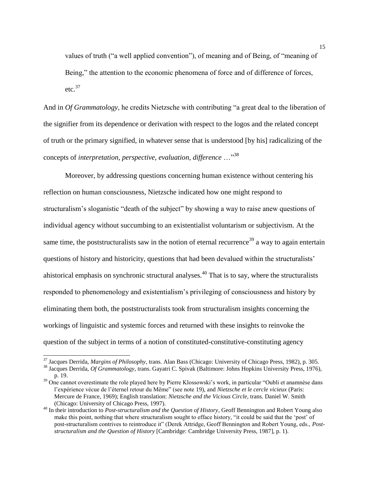values of truth ("a well applied convention"), of meaning and of Being, of "meaning of Being," the attention to the economic phenomena of force and of difference of forces,  $etc.<sup>37</sup>$ 

And in *Of Grammatology*, he credits Nietzsche with contributing "a great deal to the liberation of the signifier from its dependence or derivation with respect to the logos and the related concept of truth or the primary signified, in whatever sense that is understood [by his] radicalizing of the concepts of *interpretation, perspective, evaluation, difference* …"<sup>38</sup>

Moreover, by addressing questions concerning human existence without centering his reflection on human consciousness, Nietzsche indicated how one might respond to structuralism's sloganistic "death of the subject" by showing a way to raise anew questions of individual agency without succumbing to an existentialist voluntarism or subjectivism. At the same time, the poststructuralists saw in the notion of eternal recurrence<sup>39</sup> a way to again entertain questions of history and historicity, questions that had been devalued within the structuralists' ahistorical emphasis on synchronic structural analyses.<sup>40</sup> That is to say, where the structuralists responded to phenomenology and existentialism's privileging of consciousness and history by eliminating them both, the poststructuralists took from structuralism insights concerning the workings of linguistic and systemic forces and returned with these insights to reinvoke the question of the subject in terms of a notion of constituted-constitutive-constituting agency

<sup>37</sup> Jacques Derrida, *Margins of Philosophy*, trans. Alan Bass (Chicago: University of Chicago Press, 1982), p. 305.

<sup>38</sup> Jacques Derrida, *Of Grammatology*, trans. Gayatri C. Spivak (Baltimore: Johns Hopkins University Press, 1976), p. 19.

<sup>&</sup>lt;sup>39</sup> One cannot overestimate the role played here by Pierre Klossowski's work, in particular "Oubli et anamnèse dans l'expérience vécue de l'éternel retour du Même" (see note 19), and *Nietzsche et le cercle vicieux* (Paris: Mercure de France, 1969); English translation: *Nietzsche and the Vicious Circle*, trans. Daniel W. Smith (Chicago: University of Chicago Press, 1997).

<sup>40</sup> In their introduction to *Post-structuralism and the Question of History*, Geoff Bennington and Robert Young also make this point, nothing that where structuralism sought to efface history, "it could be said that the 'post' of post-structuralism contrives to reintroduce it" (Derek Attridge, Geoff Bennington and Robert Young, eds., *Poststructuralism and the Question of History* [Cambridge: Cambridge University Press, 1987], p. 1).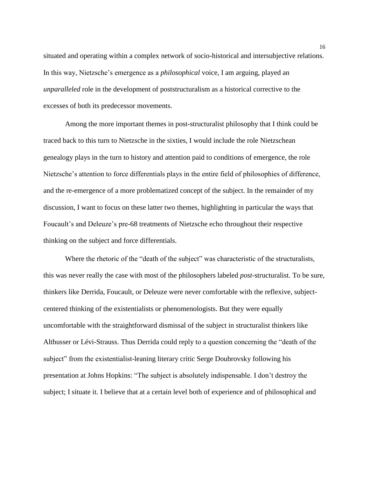situated and operating within a complex network of socio-historical and intersubjective relations. In this way, Nietzsche's emergence as a *philosophical* voice, I am arguing, played an *unparalleled* role in the development of poststructuralism as a historical corrective to the excesses of both its predecessor movements.

Among the more important themes in post-structuralist philosophy that I think could be traced back to this turn to Nietzsche in the sixties, I would include the role Nietzschean genealogy plays in the turn to history and attention paid to conditions of emergence, the role Nietzsche's attention to force differentials plays in the entire field of philosophies of difference, and the re-emergence of a more problematized concept of the subject. In the remainder of my discussion, I want to focus on these latter two themes, highlighting in particular the ways that Foucault's and Deleuze's pre-68 treatments of Nietzsche echo throughout their respective thinking on the subject and force differentials.

Where the rhetoric of the "death of the subject" was characteristic of the structuralists, this was never really the case with most of the philosophers labeled *post-*structuralist. To be sure, thinkers like Derrida, Foucault, or Deleuze were never comfortable with the reflexive, subjectcentered thinking of the existentialists or phenomenologists. But they were equally uncomfortable with the straightforward dismissal of the subject in structuralist thinkers like Althusser or Lévi-Strauss. Thus Derrida could reply to a question concerning the "death of the subject" from the existentialist-leaning literary critic Serge Doubrovsky following his presentation at Johns Hopkins: "The subject is absolutely indispensable. I don't destroy the subject; I situate it. I believe that at a certain level both of experience and of philosophical and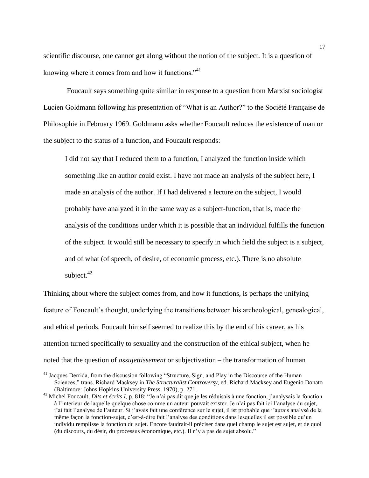scientific discourse, one cannot get along without the notion of the subject. It is a question of knowing where it comes from and how it functions."<sup>41</sup>

Foucault says something quite similar in response to a question from Marxist sociologist Lucien Goldmann following his presentation of "What is an Author?" to the Société Française de Philosophie in February 1969. Goldmann asks whether Foucault reduces the existence of man or the subject to the status of a function, and Foucault responds:

I did not say that I reduced them to a function, I analyzed the function inside which something like an author could exist. I have not made an analysis of the subject here, I made an analysis of the author. If I had delivered a lecture on the subject, I would probably have analyzed it in the same way as a subject-function, that is, made the analysis of the conditions under which it is possible that an individual fulfills the function of the subject. It would still be necessary to specify in which field the subject is a subject, and of what (of speech, of desire, of economic process, etc.). There is no absolute subject.<sup>42</sup>

Thinking about where the subject comes from, and how it functions, is perhaps the unifying feature of Foucault's thought, underlying the transitions between his archeological, genealogical, and ethical periods. Foucault himself seemed to realize this by the end of his career, as his attention turned specifically to sexuality and the construction of the ethical subject, when he noted that the question of *assujettissement* or subjectivation – the transformation of human

<sup>&</sup>lt;sup>41</sup> Jacques Derrida, from the discussion following "Structure, Sign, and Play in the Discourse of the Human Sciences," trans. Richard Macksey in *The Structuralist Controversy*, ed. Richard Macksey and Eugenio Donato (Baltimore: Johns Hopkins University Press, 1970), p. 271.

<sup>&</sup>lt;sup>42</sup> Michel Foucault, *Dits et écrits I*, p. 818: "Je n'ai pas dit que je les réduisais à une fonction, j'analysais la fonction à l'interieur de laquelle quelque chose comme un auteur pouvait exister. Je n'ai pas fait ici l'analyse du sujet, j'ai fait l'analyse de l'auteur. Si j'avais fait une conférence sur le sujet, il ist probable que j'aurais analysé de la même façon la fonction-sujet, c'est-à-dire fait l'analyse des conditions dans lesquelles il est possible qu'un individu remplisse la fonction du sujet. Encore faudrait-il préciser dans quel champ le sujet est sujet, et de quoi (du discours, du désir, du processus économique, etc.). Il n'y a pas de sujet absolu."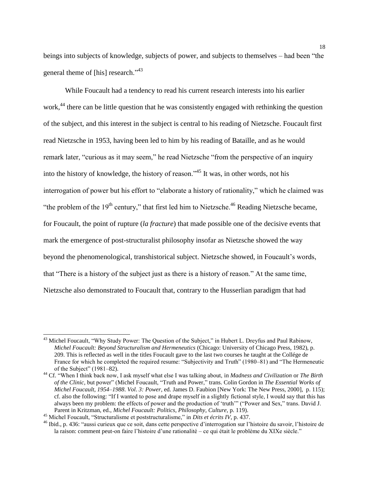beings into subjects of knowledge, subjects of power, and subjects to themselves – had been "the general theme of [his] research."<sup>43</sup>

While Foucault had a tendency to read his current research interests into his earlier work,<sup>44</sup> there can be little question that he was consistently engaged with rethinking the question of the subject, and this interest in the subject is central to his reading of Nietzsche. Foucault first read Nietzsche in 1953, having been led to him by his reading of Bataille, and as he would remark later, "curious as it may seem," he read Nietzsche "from the perspective of an inquiry into the history of knowledge, the history of reason."<sup>45</sup> It was, in other words, not his interrogation of power but his effort to "elaborate a history of rationality," which he claimed was "the problem of the  $19<sup>th</sup>$  century," that first led him to Nietzsche.<sup>46</sup> Reading Nietzsche became, for Foucault, the point of rupture (*la fracture*) that made possible one of the decisive events that mark the emergence of post-structuralist philosophy insofar as Nietzsche showed the way beyond the phenomenological, transhistorical subject. Nietzsche showed, in Foucault's words, that "There is a history of the subject just as there is a history of reason." At the same time, Nietzsche also demonstrated to Foucault that, contrary to the Husserlian paradigm that had

<sup>&</sup>lt;sup>43</sup> Michel Foucault, "Why Study Power: The Question of the Subject," in Hubert L. Dreyfus and Paul Rabinow, *Michel Foucault: Beyond Structuralism and Hermeneutics* (Chicago: University of Chicago Press, 1982), p. 209. This is reflected as well in the titles Foucault gave to the last two courses he taught at the Collége de France for which he completed the required resume: "Subjectivity and Truth" (1980–81) and "The Hermeneutic of the Subject" (1981–82).

<sup>44</sup> Cf. "When I think back now, I ask myself what else I was talking about, in *Madness and Civilization* or *The Birth of the Clinic,* but power" (Michel Foucault, "Truth and Power," trans. Colin Gordon in *The Essential Works of Michel Foucault, 1954–1988*. *Vol*. *3: Power,* ed. James D. Faubion [New York: The New Press, 2000], p. 115); cf. also the following: "If I wanted to pose and drape myself in a slightly fictional style, I would say that this has always been my problem: the effects of power and the production of 'truth'" ("Power and Sex," trans. David J. Parent in Kritzman, ed., *Michel Foucault: Politics, Philosophy, Culture,* p. 119).

<sup>45</sup> Michel Foucault, "Structuralisme et poststructuralisme," in *Dits et écrits IV*, p. 437.

<sup>46</sup> Ibid., p. 436: "aussi curieux que ce soit, dans cette perspective d'interrogation sur l'histoire du savoir, l'histoire de la raison: comment peut-on faire l'histoire d'une rationalité – ce qui était le problème du XIXe siècle."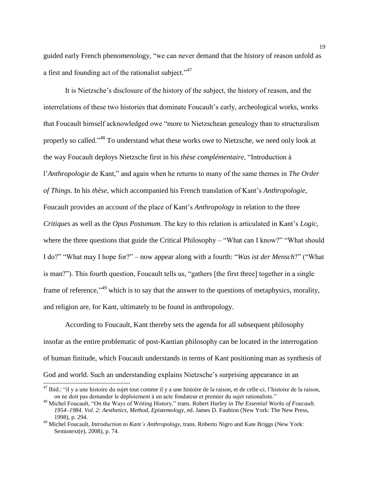guided early French phenomenology, "we can never demand that the history of reason unfold as a first and founding act of the rationalist subject."<sup>47</sup>

It is Nietzsche's disclosure of the history of the subject, the history of reason, and the interrelations of these two histories that dominate Foucault's early, archeological works, works that Foucault himself acknowledged owe "more to Nietzschean genealogy than to structuralism properly so called."<sup>48</sup> To understand what these works owe to Nietzsche, we need only look at the way Foucault deploys Nietzsche first in his *thèse complémentaire*, "Introduction à l'*Anthropologie* de Kant," and again when he returns to many of the same themes in *The Order of Things.* In his *thèse*, which accompanied his French translation of Kant's *Anthropologie*, Foucault provides an account of the place of Kant's *Anthropology* in relation to the three *Critiques* as well as the *Opus Postumum*. The key to this relation is articulated in Kant's *Logic*, where the three questions that guide the Critical Philosophy – "What can I know?" "What should I do?" "What may I hope for?" – now appear along with a fourth: "*Was ist der Mensch*?" ("What is man?"). This fourth question, Foucault tells us, "gathers [the first three] together in a single frame of reference,"<sup>49</sup> which is to say that the answer to the questions of metaphysics, morality, and religion are, for Kant, ultimately to be found in anthropology.

According to Foucault, Kant thereby sets the agenda for all subsequent philosophy insofar as the entire problematic of post-Kantian philosophy can be located in the interrogation of human finitude, which Foucault understands in terms of Kant positioning man as synthesis of God and world. Such an understanding explains Nietzsche's surprising appearance in an

<sup>&</sup>lt;sup>47</sup> Ibid.: "il y a une histoire du sujet tout comme il y a une histoire de la raison, et de celle-ci, l'histoire de la raison, on ne doit pas demander le déploiement à un acte fondateur et premier du sujet rationaliste."

<sup>48</sup> Michel Foucault, "On the Ways of Writing History," trans. Robert Hurley in *The Essential Works of Foucault*. *1954–1984*. *Vol*. *2: Aesthetics, Method, Epistemology,* ed. James D. Faubion (New York: The New Press, 1998), p. 294.

<sup>49</sup> Michel Foucault, *Introduction to Kant's Anthropology*, trans. Roberto Nigro and Kate Briggs (New York: Semiotext(e), 2008), p. 74.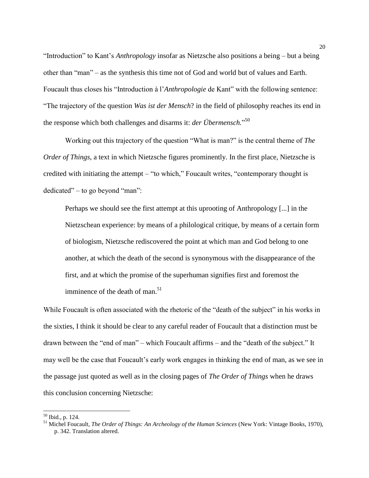"Introduction" to Kant's *Anthropology* insofar as Nietzsche also positions a being – but a being other than "man" – as the synthesis this time not of God and world but of values and Earth. Foucault thus closes his "Introduction à l'*Anthropologie* de Kant" with the following sentence: "The trajectory of the question *Was ist der Mensch*? in the field of philosophy reaches its end in the response which both challenges and disarms it: *der Übermensch.*" 50

Working out this trajectory of the question "What is man?" is the central theme of *The Order of Things*, a text in which Nietzsche figures prominently. In the first place, Nietzsche is credited with initiating the attempt – "to which," Foucault writes, "contemporary thought is dedicated" – to go beyond "man":

Perhaps we should see the first attempt at this uprooting of Anthropology [...] in the Nietzschean experience: by means of a philological critique, by means of a certain form of biologism, Nietzsche rediscovered the point at which man and God belong to one another, at which the death of the second is synonymous with the disappearance of the first, and at which the promise of the superhuman signifies first and foremost the imminence of the death of man. $51$ 

While Foucault is often associated with the rhetoric of the "death of the subject" in his works in the sixties, I think it should be clear to any careful reader of Foucault that a distinction must be drawn between the "end of man" – which Foucault affirms – and the "death of the subject." It may well be the case that Foucault's early work engages in thinking the end of man, as we see in the passage just quoted as well as in the closing pages of *The Order of Things* when he draws this conclusion concerning Nietzsche:

<sup>&</sup>lt;sup>50</sup> Ibid., p. 124.

<sup>51</sup> Michel Foucault, *The Order of Things: An Archeology of the Human Sciences* (New York: Vintage Books, 1970), p. 342. Translation altered.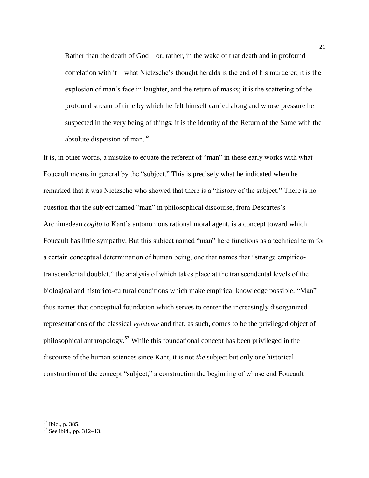Rather than the death of  $God - or$ , rather, in the wake of that death and in profound correlation with it – what Nietzsche's thought heralds is the end of his murderer; it is the explosion of man's face in laughter, and the return of masks; it is the scattering of the profound stream of time by which he felt himself carried along and whose pressure he suspected in the very being of things; it is the identity of the Return of the Same with the absolute dispersion of man.<sup>52</sup>

It is, in other words, a mistake to equate the referent of "man" in these early works with what Foucault means in general by the "subject." This is precisely what he indicated when he remarked that it was Nietzsche who showed that there is a "history of the subject." There is no question that the subject named "man" in philosophical discourse, from Descartes's Archimedean *cogito* to Kant's autonomous rational moral agent, is a concept toward which Foucault has little sympathy. But this subject named "man" here functions as a technical term for a certain conceptual determination of human being, one that names that "strange empiricotranscendental doublet," the analysis of which takes place at the transcendental levels of the biological and historico-cultural conditions which make empirical knowledge possible. "Man" thus names that conceptual foundation which serves to center the increasingly disorganized representations of the classical *epistēmē* and that, as such, comes to be the privileged object of philosophical anthropology.<sup>53</sup> While this foundational concept has been privileged in the discourse of the human sciences since Kant, it is not *the* subject but only one historical construction of the concept "subject," a construction the beginning of whose end Foucault

<sup>&</sup>lt;sup>52</sup> Ibid., p. 385.

<sup>53</sup> See ibid., pp. 312–13.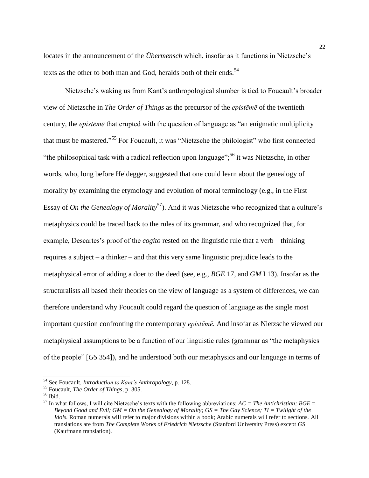locates in the announcement of the *Übermensch* which, insofar as it functions in Nietzsche's texts as the other to both man and God, heralds both of their ends.<sup>54</sup>

Nietzsche's waking us from Kant's anthropological slumber is tied to Foucault's broader view of Nietzsche in *The Order of Things* as the precursor of the *epistēmē* of the twentieth century, the *epistēmē* that erupted with the question of language as "an enigmatic multiplicity that must be mastered."<sup>55</sup> For Foucault, it was "Nietzsche the philologist" who first connected "the philosophical task with a radical reflection upon language";  $56$  it was Nietzsche, in other words, who, long before Heidegger, suggested that one could learn about the genealogy of morality by examining the etymology and evolution of moral terminology (e.g., in the First Essay of *On the Genealogy of Morality*<sup>57</sup>). And it was Nietzsche who recognized that a culture's metaphysics could be traced back to the rules of its grammar, and who recognized that, for example, Descartes's proof of the *cogito* rested on the linguistic rule that a verb – thinking – requires a subject – a thinker – and that this very same linguistic prejudice leads to the metaphysical error of adding a doer to the deed (see, e.g., *BGE* 17, and *GM* I 13). Insofar as the structuralists all based their theories on the view of language as a system of differences, we can therefore understand why Foucault could regard the question of language as the single most important question confronting the contemporary *epistēmē.* And insofar as Nietzsche viewed our metaphysical assumptions to be a function of our linguistic rules (grammar as "the metaphysics of the people" [*GS* 354]), and he understood both our metaphysics and our language in terms of

<sup>54</sup> See Foucault, *Introduction to Kant's Anthropology,* p. 128.

<sup>55</sup> Foucault, *The Order of Things*, p. 305.

<sup>56</sup> Ibid.

 $^{57}$  In what follows, I will cite Nietzsche's texts with the following abbreviations:  $AC = The Antichristian$ ;  $BGE =$ *Beyond Good and Evil; GM = On the Genealogy of Morality; GS = The Gay Science; TI = Twilight of the Idols.* Roman numerals will refer to major divisions within a book; Arabic numerals will refer to sections. All translations are from *The Complete Works of Friedrich Nietzsche* (Stanford University Press) except *GS*  (Kaufmann translation).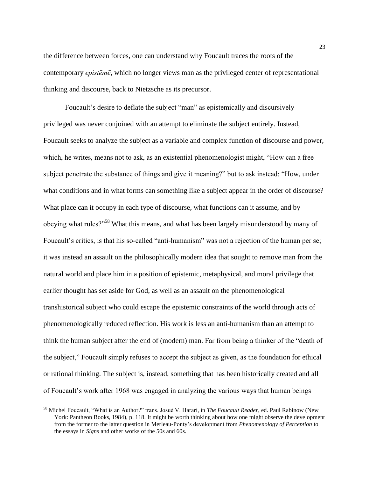the difference between forces, one can understand why Foucault traces the roots of the contemporary *epistēmē*, which no longer views man as the privileged center of representational thinking and discourse, back to Nietzsche as its precursor.

Foucault's desire to deflate the subject "man" as epistemically and discursively privileged was never conjoined with an attempt to eliminate the subject entirely. Instead, Foucault seeks to analyze the subject as a variable and complex function of discourse and power, which, he writes, means not to ask, as an existential phenomenologist might, "How can a free subject penetrate the substance of things and give it meaning?" but to ask instead: "How, under what conditions and in what forms can something like a subject appear in the order of discourse? What place can it occupy in each type of discourse, what functions can it assume, and by obeying what rules?"<sup>58</sup> What this means, and what has been largely misunderstood by many of Foucault's critics, is that his so-called "anti-humanism" was not a rejection of the human per se; it was instead an assault on the philosophically modern idea that sought to remove man from the natural world and place him in a position of epistemic, metaphysical, and moral privilege that earlier thought has set aside for God, as well as an assault on the phenomenological transhistorical subject who could escape the epistemic constraints of the world through acts of phenomenologically reduced reflection. His work is less an anti-humanism than an attempt to think the human subject after the end of (modern) man. Far from being a thinker of the "death of the subject," Foucault simply refuses to accept the subject as given, as the foundation for ethical or rational thinking. The subject is, instead, something that has been historically created and all of Foucault's work after 1968 was engaged in analyzing the various ways that human beings

<sup>58</sup> Michel Foucault, "What is an Author?" trans. Josué V. Harari, in *The Foucault Reader*, ed. Paul Rabinow (New York: Pantheon Books, 1984), p. 118. It might be worth thinking about how one might observe the development from the former to the latter question in Merleau-Ponty's development from *Phenomenology of Perception* to the essays in *Signs* and other works of the 50s and 60s.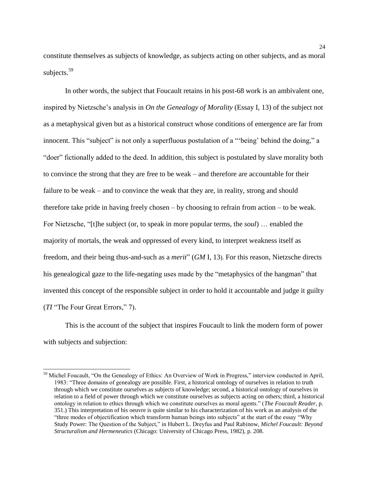constitute themselves as subjects of knowledge, as subjects acting on other subjects, and as moral subjects.<sup>59</sup>

In other words, the subject that Foucault retains in his post-68 work is an ambivalent one, inspired by Nietzsche's analysis in *On the Genealogy of Morality* (Essay I, 13) of the subject not as a metaphysical given but as a historical construct whose conditions of emergence are far from innocent. This "subject" is not only a superfluous postulation of a "being' behind the doing," a "doer" fictionally added to the deed. In addition, this subject is postulated by slave morality both to convince the strong that they are free to be weak – and therefore are accountable for their failure to be weak – and to convince the weak that they are, in reality, strong and should therefore take pride in having freely chosen – by choosing to refrain from action – to be weak. For Nietzsche, "[t]he subject (or, to speak in more popular terms, the *soul*) … enabled the majority of mortals, the weak and oppressed of every kind, to interpret weakness itself as freedom, and their being thus-and-such as a *merit*" (*GM* I, 13). For this reason, Nietzsche directs his genealogical gaze to the life-negating uses made by the "metaphysics of the hangman" that invented this concept of the responsible subject in order to hold it accountable and judge it guilty (*TI* "The Four Great Errors," 7).

This is the account of the subject that inspires Foucault to link the modern form of power with subjects and subjection:

<sup>&</sup>lt;sup>59</sup> Michel Foucault, "On the Genealogy of Ethics: An Overview of Work in Progress," interview conducted in April, 1983: "Three domains of genealogy are possible. First, a historical ontology of ourselves in relation to truth through which we constitute ourselves as subjects of knowledge; second, a historical ontology of ourselves in relation to a field of power through which we constitute ourselves as subjects acting on others; third, a historical ontology in relation to ethics through which we constitute ourselves as moral agents." (*The Foucault Reader*, p. 351.) This interpretation of his oeuvre is quite similar to his characterization of his work as an analysis of the "three modes of objectification which transform human beings into subjects" at the start of the essay "Why Study Power: The Question of the Subject," in Hubert L. Dreyfus and Paul Rabinow, *Michel Foucault: Beyond Structuralism and Hermeneutics* (Chicago: University of Chicago Press, 1982), p. 208.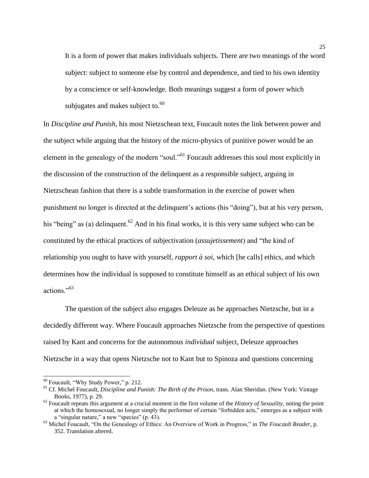It is a form of power that makes individuals subjects. There are two meanings of the word subject: subject to someone else by control and dependence, and tied to his own identity by a conscience or self-knowledge. Both meanings suggest a form of power which subjugates and makes subject to. $60$ 

In *Discipline and Punish,* his most Nietzschean text, Foucault notes the link between power and the subject while arguing that the history of the micro-physics of punitive power would be an element in the genealogy of the modern "soul."<sup>61</sup> Foucault addresses this soul most explicitly in the discussion of the construction of the delinquent as a responsible subject, arguing in Nietzschean fashion that there is a subtle transformation in the exercise of power when punishment no longer is directed at the delinquent's actions (his "doing"), but at his very person, his "being" as (a) delinquent.<sup>62</sup> And in his final works, it is this very same subject who can be constituted by the ethical practices of subjectivation (*assujetissement*) and "the kind of relationship you ought to have with yourself, *rapport à soi*, which [he calls] ethics, and which determines how the individual is supposed to constitute himself as an ethical subject of his own actions."<sup>63</sup>

The question of the subject also engages Deleuze as he approaches Nietzsche, but in a decidedly different way. Where Foucault approaches Nietzsche from the perspective of questions raised by Kant and concerns for the autonomous *individual* subject, Deleuze approaches Nietzsche in a way that opens Nietzsche not to Kant but to Spinoza and questions concerning

<sup>&</sup>lt;sup>60</sup> Foucault, "Why Study Power," p. 212.

<sup>61</sup> Cf. Michel Foucault, *Discipline and Punish: The Birth of the Prison*, trans. Alan Sheridan. (New York: Vintage Books, 1977), p. 29.

<sup>62</sup> Foucault repeats this argument at a crucial moment in the first volume of the *History of Sexuality*, noting the point at which the homosexual, no longer simply the performer of certain "forbidden acts," emerges as a subject with a "singular nature," a new "species" (p. 43).

<sup>63</sup> Michel Foucault, "On the Genealogy of Ethics: An Overview of Work in Progress," in *The Foucault Reader*, p. 352. Translation altered.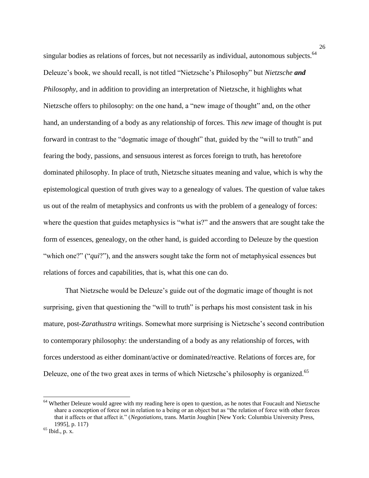singular bodies as relations of forces, but not necessarily as individual, autonomous subjects.<sup>64</sup> Deleuze's book, we should recall, is not titled "Nietzsche's Philosophy" but *Nietzsche and Philosophy*, and in addition to providing an interpretation of Nietzsche, it highlights what Nietzsche offers to philosophy: on the one hand, a "new image of thought" and, on the other hand, an understanding of a body as any relationship of forces. This *new* image of thought is put forward in contrast to the "dogmatic image of thought" that, guided by the "will to truth" and fearing the body, passions, and sensuous interest as forces foreign to truth, has heretofore dominated philosophy. In place of truth, Nietzsche situates meaning and value, which is why the epistemological question of truth gives way to a genealogy of values. The question of value takes us out of the realm of metaphysics and confronts us with the problem of a genealogy of forces: where the question that guides metaphysics is "what is?" and the answers that are sought take the form of essences, genealogy, on the other hand, is guided according to Deleuze by the question "which one?" ("*qui*?"), and the answers sought take the form not of metaphysical essences but relations of forces and capabilities, that is, what this one can do.

That Nietzsche would be Deleuze's guide out of the dogmatic image of thought is not surprising, given that questioning the "will to truth" is perhaps his most consistent task in his mature, post-*Zarathustra* writings. Somewhat more surprising is Nietzsche's second contribution to contemporary philosophy: the understanding of a body as any relationship of forces, with forces understood as either dominant/active or dominated/reactive. Relations of forces are, for Deleuze, one of the two great axes in terms of which Nietzsche's philosophy is organized.<sup>65</sup>

 $64$  Whether Deleuze would agree with my reading here is open to question, as he notes that Foucault and Nietzsche share a conception of force not in relation to a being or an object but as "the relation of force with other forces that it affects or that affect it." (*Negotiations*, trans. Martin Joughin [New York: Columbia University Press, 1995], p. 117)

 $<sup>65</sup>$  Ibid., p. x.</sup>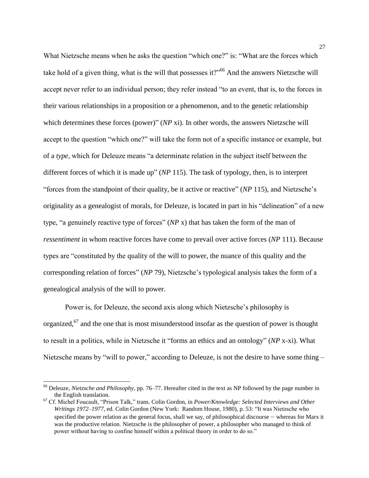What Nietzsche means when he asks the question "which one?" is: "What are the forces which take hold of a given thing, what is the will that possesses it?"<sup>66</sup> And the answers Nietzsche will accept never refer to an individual person; they refer instead "to an event, that is, to the forces in their various relationships in a proposition or a phenomenon, and to the genetic relationship which determines these forces (power)" (*NP* xi). In other words, the answers Nietzsche will accept to the question "which one?" will take the form not of a specific instance or example, but of a *type*, which for Deleuze means "a determinate relation in the subject itself between the different forces of which it is made up" (*NP* 115). The task of typology, then, is to interpret "forces from the standpoint of their quality, be it active or reactive" (*NP* 115), and Nietzsche's originality as a genealogist of morals, for Deleuze, is located in part in his "delineation" of a new type, "a genuinely reactive type of forces" (*NP* x) that has taken the form of the man of *ressentiment* in whom reactive forces have come to prevail over active forces (*NP* 111). Because types are "constituted by the quality of the will to power, the nuance of this quality and the corresponding relation of forces" (*NP* 79), Nietzsche's typological analysis takes the form of a genealogical analysis of the will to power.

Power is, for Deleuze, the second axis along which Nietzsche's philosophy is organized, $67$  and the one that is most misunderstood insofar as the question of power is thought to result in a politics, while in Nietzsche it "forms an ethics and an ontology" (*NP* x-xi). What Nietzsche means by "will to power," according to Deleuze, is not the desire to have some thing –

<sup>66</sup> Deleuze, *Nietzsche and Philosophy*, pp. 76–77. Hereafter cited in the text as NP followed by the page number in the English translation.

<sup>67</sup> Cf. Michel Foucault, "Prison Talk," trans. Colin Gordon, in *Power/Knowledge: Selected Interviews and Other Writings 1972–1977*, ed. Colin Gordon (New York: Random House, 1980), p. 53: "It was Nietzsche who specified the power relation as the general focus, shall we say, of philosophical discourse – whereas for Marx it was the productive relation. Nietzsche is the philosopher of power, a philosopher who managed to think of power without having to confine himself within a political theory in order to do so."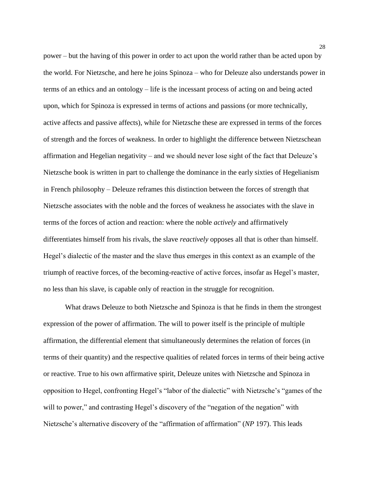power – but the having of this power in order to act upon the world rather than be acted upon by the world. For Nietzsche, and here he joins Spinoza – who for Deleuze also understands power in terms of an ethics and an ontology – life is the incessant process of acting on and being acted upon, which for Spinoza is expressed in terms of actions and passions (or more technically, active affects and passive affects), while for Nietzsche these are expressed in terms of the forces of strength and the forces of weakness. In order to highlight the difference between Nietzschean affirmation and Hegelian negativity – and we should never lose sight of the fact that Deleuze's Nietzsche book is written in part to challenge the dominance in the early sixties of Hegelianism in French philosophy – Deleuze reframes this distinction between the forces of strength that Nietzsche associates with the noble and the forces of weakness he associates with the slave in terms of the forces of action and reaction: where the noble *actively* and affirmatively differentiates himself from his rivals, the slave *reactively* opposes all that is other than himself. Hegel's dialectic of the master and the slave thus emerges in this context as an example of the triumph of reactive forces, of the becoming-reactive of active forces, insofar as Hegel's master, no less than his slave, is capable only of reaction in the struggle for recognition.

What draws Deleuze to both Nietzsche and Spinoza is that he finds in them the strongest expression of the power of affirmation. The will to power itself is the principle of multiple affirmation, the differential element that simultaneously determines the relation of forces (in terms of their quantity) and the respective qualities of related forces in terms of their being active or reactive. True to his own affirmative spirit, Deleuze unites with Nietzsche and Spinoza in opposition to Hegel, confronting Hegel's "labor of the dialectic" with Nietzsche's "games of the will to power," and contrasting Hegel's discovery of the "negation of the negation" with Nietzsche's alternative discovery of the "affirmation of affirmation" (*NP* 197). This leads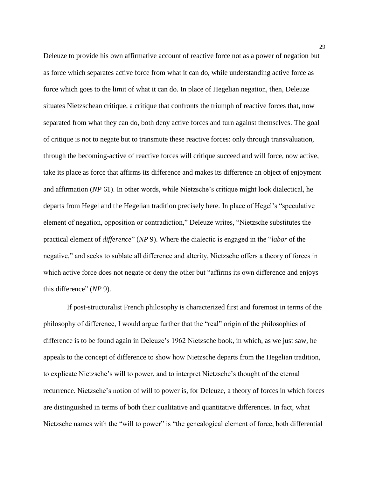Deleuze to provide his own affirmative account of reactive force not as a power of negation but as force which separates active force from what it can do, while understanding active force as force which goes to the limit of what it can do. In place of Hegelian negation, then, Deleuze situates Nietzschean critique, a critique that confronts the triumph of reactive forces that, now separated from what they can do, both deny active forces and turn against themselves. The goal of critique is not to negate but to transmute these reactive forces: only through transvaluation, through the becoming-active of reactive forces will critique succeed and will force, now active, take its place as force that affirms its difference and makes its difference an object of enjoyment and affirmation (*NP* 61). In other words, while Nietzsche's critique might look dialectical, he departs from Hegel and the Hegelian tradition precisely here. In place of Hegel's "speculative element of negation, opposition or contradiction," Deleuze writes, "Nietzsche substitutes the practical element of *difference*" (*NP* 9). Where the dialectic is engaged in the "*labor* of the negative," and seeks to sublate all difference and alterity, Nietzsche offers a theory of forces in which active force does not negate or deny the other but "affirms its own difference and enjoys this difference" (*NP* 9).

If post-structuralist French philosophy is characterized first and foremost in terms of the philosophy of difference, I would argue further that the "real" origin of the philosophies of difference is to be found again in Deleuze's 1962 Nietzsche book, in which, as we just saw, he appeals to the concept of difference to show how Nietzsche departs from the Hegelian tradition, to explicate Nietzsche's will to power, and to interpret Nietzsche's thought of the eternal recurrence. Nietzsche's notion of will to power is, for Deleuze, a theory of forces in which forces are distinguished in terms of both their qualitative and quantitative differences. In fact, what Nietzsche names with the "will to power" is "the genealogical element of force, both differential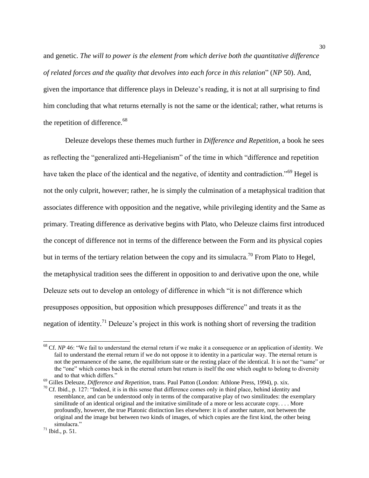and genetic. *The will to power is the element from which derive both the quantitative difference of related forces and the quality that devolves into each force in this relation*" (*NP* 50). And, given the importance that difference plays in Deleuze's reading, it is not at all surprising to find him concluding that what returns eternally is not the same or the identical; rather, what returns is the repetition of difference. $68$ 

Deleuze develops these themes much further in *Difference and Repetition*, a book he sees as reflecting the "generalized anti-Hegelianism" of the time in which "difference and repetition have taken the place of the identical and the negative, of identity and contradiction."<sup>69</sup> Hegel is not the only culprit, however; rather, he is simply the culmination of a metaphysical tradition that associates difference with opposition and the negative, while privileging identity and the Same as primary. Treating difference as derivative begins with Plato, who Deleuze claims first introduced the concept of difference not in terms of the difference between the Form and its physical copies but in terms of the tertiary relation between the copy and its simulacra.<sup>70</sup> From Plato to Hegel, the metaphysical tradition sees the different in opposition to and derivative upon the one, while Deleuze sets out to develop an ontology of difference in which "it is not difference which presupposes opposition, but opposition which presupposes difference" and treats it as the negation of identity.<sup>71</sup> Deleuze's project in this work is nothing short of reversing the tradition

<sup>&</sup>lt;sup>68</sup> Cf. *NP* 46: "We fail to understand the eternal return if we make it a consequence or an application of identity. We fail to understand the eternal return if we do not oppose it to identity in a particular way. The eternal return is not the permanence of the same, the equilibrium state or the resting place of the identical. It is not the "same" or the "one" which comes back in the eternal return but return is itself the one which ought to belong to diversity and to that which differs."

<sup>69</sup> Gilles Deleuze, *Difference and Repetition*, trans. Paul Patton (London: Athlone Press, 1994), p. xix.

 $70$  Cf. Ibid., p. 127: "Indeed, it is in this sense that difference comes only in third place, behind identity and resemblance, and can be understood only in terms of the comparative play of two similitudes: the exemplary similitude of an identical original and the imitative similitude of a more or less accurate copy. . . . More profoundly, however, the true Platonic distinction lies elsewhere: it is of another nature, not between the original and the image but between two kinds of images, of which copies are the first kind, the other being simulacra."

 $71$  Ibid., p. 51.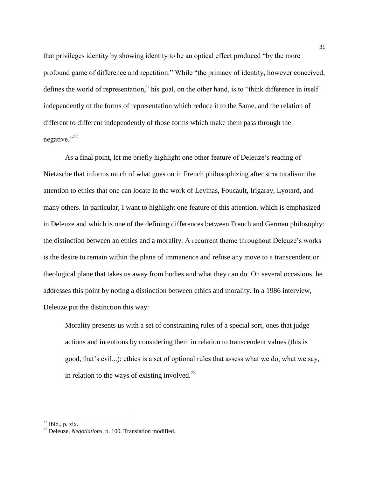that privileges identity by showing identity to be an optical effect produced "by the more profound game of difference and repetition." While "the primacy of identity, however conceived, defines the world of representation," his goal, on the other hand, is to "think difference in itself independently of the forms of representation which reduce it to the Same, and the relation of different to different independently of those forms which make them pass through the negative."<sup>72</sup>

As a final point, let me briefly highlight one other feature of Deleuze's reading of Nietzsche that informs much of what goes on in French philosophizing after structuralism: the attention to ethics that one can locate in the work of Levinas, Foucault, Irigaray, Lyotard, and many others. In particular, I want to highlight one feature of this attention, which is emphasized in Deleuze and which is one of the defining differences between French and German philosophy: the distinction between an ethics and a morality. A recurrent theme throughout Deleuze's works is the desire to remain within the plane of immanence and refuse any move to a transcendent or theological plane that takes us away from bodies and what they can do. On several occasions, he addresses this point by noting a distinction between ethics and morality. In a 1986 interview, Deleuze put the distinction this way:

Morality presents us with a set of constraining rules of a special sort, ones that judge actions and intentions by considering them in relation to transcendent values (this is good, that's evil...); ethics is a set of optional rules that assess what we do, what we say, in relation to the ways of existing involved.<sup>73</sup>

 $72$  Ibid., p. xix.

<sup>73</sup> Deleuze, *Negotiations,* p. 100. Translation modified.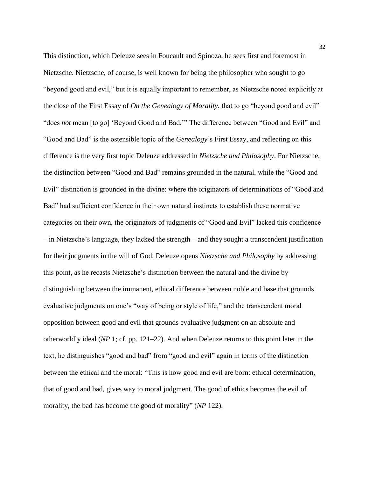This distinction, which Deleuze sees in Foucault and Spinoza, he sees first and foremost in Nietzsche. Nietzsche, of course, is well known for being the philosopher who sought to go "beyond good and evil," but it is equally important to remember, as Nietzsche noted explicitly at the close of the First Essay of *On the Genealogy of Morality*, that to go "beyond good and evil" "does *not* mean [to go] 'Beyond Good and Bad.'" The difference between "Good and Evil" and "Good and Bad" is the ostensible topic of the *Genealogy*'s First Essay, and reflecting on this difference is the very first topic Deleuze addressed in *Nietzsche and Philosophy*. For Nietzsche, the distinction between "Good and Bad" remains grounded in the natural, while the "Good and Evil" distinction is grounded in the divine: where the originators of determinations of "Good and Bad" had sufficient confidence in their own natural instincts to establish these normative categories on their own, the originators of judgments of "Good and Evil" lacked this confidence – in Nietzsche's language, they lacked the strength – and they sought a transcendent justification for their judgments in the will of God. Deleuze opens *Nietzsche and Philosophy* by addressing this point, as he recasts Nietzsche's distinction between the natural and the divine by distinguishing between the immanent, ethical difference between noble and base that grounds evaluative judgments on one's "way of being or style of life," and the transcendent moral opposition between good and evil that grounds evaluative judgment on an absolute and otherworldly ideal (*NP* 1; cf. pp. 121–22). And when Deleuze returns to this point later in the text, he distinguishes "good and bad" from "good and evil" again in terms of the distinction between the ethical and the moral: "This is how good and evil are born: ethical determination, that of good and bad, gives way to moral judgment. The good of ethics becomes the evil of morality, the bad has become the good of morality" (*NP* 122).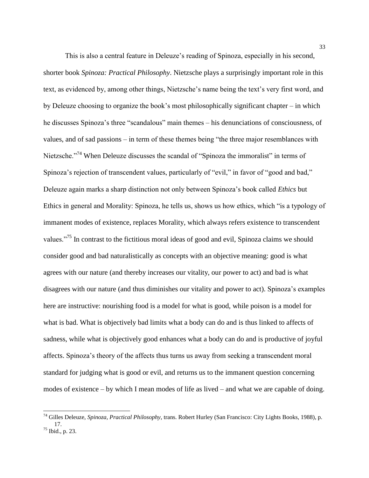This is also a central feature in Deleuze's reading of Spinoza, especially in his second, shorter book *Spinoza: Practical Philosophy*. Nietzsche plays a surprisingly important role in this text, as evidenced by, among other things, Nietzsche's name being the text's very first word, and by Deleuze choosing to organize the book's most philosophically significant chapter – in which he discusses Spinoza's three "scandalous" main themes – his denunciations of consciousness, of values, and of sad passions – in term of these themes being "the three major resemblances with Nietzsche."<sup>74</sup> When Deleuze discusses the scandal of "Spinoza the immoralist" in terms of Spinoza's rejection of transcendent values, particularly of "evil," in favor of "good and bad," Deleuze again marks a sharp distinction not only between Spinoza's book called *Ethics* but Ethics in general and Morality: Spinoza, he tells us, shows us how ethics, which "is a typology of immanent modes of existence, replaces Morality, which always refers existence to transcendent values."<sup>75</sup> In contrast to the fictitious moral ideas of good and evil, Spinoza claims we should consider good and bad naturalistically as concepts with an objective meaning: good is what agrees with our nature (and thereby increases our vitality, our power to act) and bad is what disagrees with our nature (and thus diminishes our vitality and power to act). Spinoza's examples here are instructive: nourishing food is a model for what is good, while poison is a model for what is bad. What is objectively bad limits what a body can do and is thus linked to affects of sadness, while what is objectively good enhances what a body can do and is productive of joyful affects. Spinoza's theory of the affects thus turns us away from seeking a transcendent moral standard for judging what is good or evil, and returns us to the immanent question concerning modes of existence – by which I mean modes of life as lived – and what we are capable of doing.

<sup>74</sup> Gilles Deleuze, *Spinoza, Practical Philosophy*, trans. Robert Hurley (San Francisco: City Lights Books, 1988), p. 17. <sup>75</sup> Ibid., p. 23.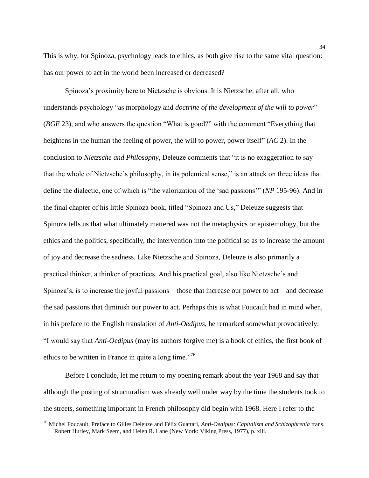This is why, for Spinoza, psychology leads to ethics, as both give rise to the same vital question: has our power to act in the world been increased or decreased?

Spinoza's proximity here to Nietzsche is obvious. It is Nietzsche, after all, who understands psychology "as morphology and *doctrine of the development of the will to power*" (*BGE* 23), and who answers the question "What is good?" with the comment "Everything that heightens in the human the feeling of power, the will to power, power itself" (*AC* 2). In the conclusion to *Nietzsche and Philosophy*, Deleuze comments that "it is no exaggeration to say that the whole of Nietzsche's philosophy, in its polemical sense," is an attack on three ideas that define the dialectic, one of which is "the valorization of the 'sad passions'" (*NP* 195-96). And in the final chapter of his little Spinoza book, titled "Spinoza and Us," Deleuze suggests that Spinoza tells us that what ultimately mattered was not the metaphysics or epistemology, but the ethics and the politics, specifically, the intervention into the political so as to increase the amount of joy and decrease the sadness. Like Nietzsche and Spinoza, Deleuze is also primarily a practical thinker, a thinker of practices. And his practical goal, also like Nietzsche's and Spinoza's, is to increase the joyful passions—those that increase our power to act—and decrease the sad passions that diminish our power to act. Perhaps this is what Foucault had in mind when, in his preface to the English translation of *Anti-Oedipus*, he remarked somewhat provocatively: "I would say that *Anti-Oedipus* (may its authors forgive me) is a book of ethics, the first book of ethics to be written in France in quite a long time. $^{75}$ 

Before I conclude, let me return to my opening remark about the year 1968 and say that although the posting of structuralism was already well under way by the time the students took to the streets, something important in French philosophy did begin with 1968. Here I refer to the

<sup>76</sup> Michel Foucault, Preface to Gilles Deleuze and Félix Guattari, *Anti-Oedipus: Capitalism and Schizophrenia* trans. Robert Hurley, Mark Seem, and Helen R. Lane (New York: Viking Press, 1977), p. xiii.